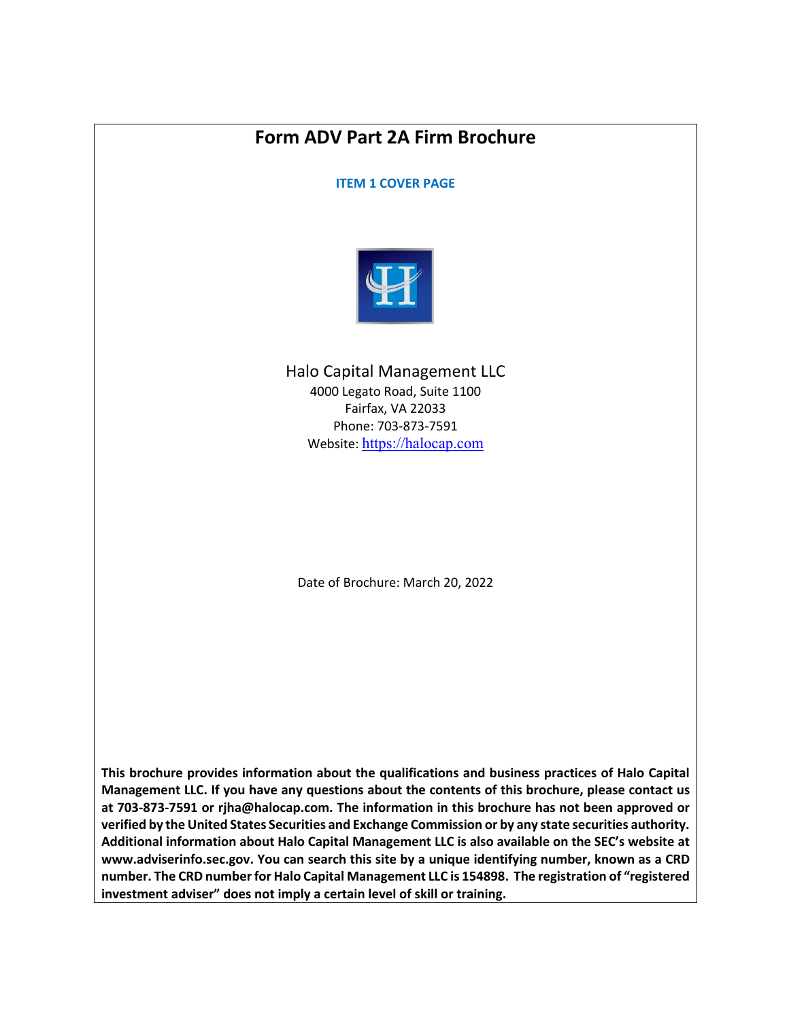# **Form ADV Part 2A Firm Brochure**

**ITEM 1 COVER PAGE**



Halo Capital Management LLC 4000 Legato Road, Suite 1100 Fairfax, VA 22033 Phone: 703-873-7591 Website: https://halocap.com

Date of Brochure: March 20, 2022

**This brochure provides information about the qualifications and business practices of Halo Capital Management LLC. If you have any questions about the contents of this brochure, please contact us at 703-873-7591 or rjha@halocap.com. The information in this brochure has not been approved or verified by the United States Securities and Exchange Commission or by any state securities authority. Additional information about Halo Capital Management LLC is also available on the SEC's website at www.adviserinfo.sec.gov. You can search this site by a unique identifying number, known as a CRD number. The CRD number for Halo Capital Management LLC is 154898. The registration of "registered investment adviser" does not imply a certain level of skill or training.**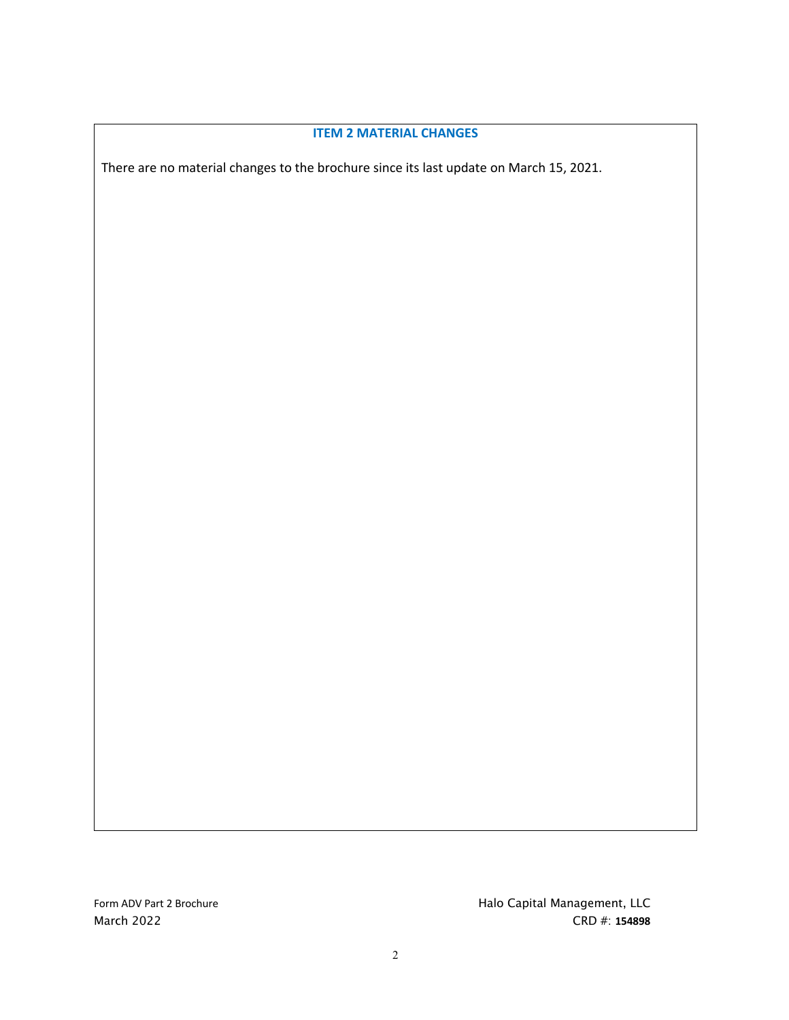#### **ITEM 2 MATERIAL CHANGES**

There are no material changes to the brochure since its last update on March 15, 2021.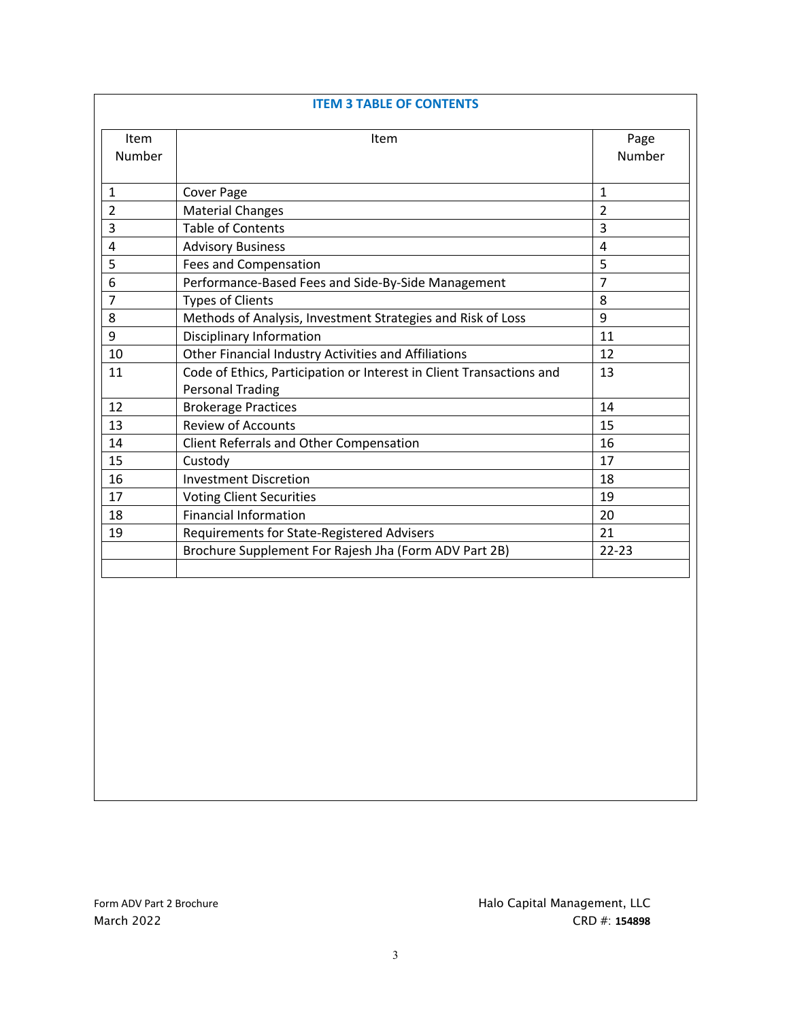| Item<br>Number          | Item                                                                 | Page<br>Number |
|-------------------------|----------------------------------------------------------------------|----------------|
|                         |                                                                      |                |
| $\mathbf{1}$            | Cover Page                                                           | $\mathbf{1}$   |
| $\overline{2}$          | <b>Material Changes</b>                                              | $\overline{2}$ |
| 3                       | <b>Table of Contents</b>                                             | 3              |
| $\overline{\mathbf{4}}$ | <b>Advisory Business</b>                                             | 4              |
| 5                       | <b>Fees and Compensation</b>                                         | 5              |
| 6                       | Performance-Based Fees and Side-By-Side Management                   | 7              |
| $\overline{7}$          | <b>Types of Clients</b>                                              | 8              |
| 8                       | Methods of Analysis, Investment Strategies and Risk of Loss          | 9              |
| 9                       | Disciplinary Information                                             | 11             |
| 10                      | Other Financial Industry Activities and Affiliations                 | 12             |
| 11                      | Code of Ethics, Participation or Interest in Client Transactions and | 13             |
|                         | <b>Personal Trading</b>                                              |                |
| 12                      | <b>Brokerage Practices</b>                                           | 14             |
| 13                      | <b>Review of Accounts</b>                                            | 15             |
| 14                      | Client Referrals and Other Compensation                              | 16             |
| 15                      | Custody                                                              | 17             |
| 16                      | <b>Investment Discretion</b>                                         | 18             |
| 17                      | <b>Voting Client Securities</b>                                      | 19             |
| 18                      | <b>Financial Information</b>                                         | 20             |
| 19                      | Requirements for State-Registered Advisers                           | 21             |
|                         | Brochure Supplement For Rajesh Jha (Form ADV Part 2B)                | $22 - 23$      |
|                         |                                                                      |                |
|                         |                                                                      |                |
|                         |                                                                      |                |
|                         |                                                                      |                |
|                         |                                                                      |                |
|                         |                                                                      |                |
|                         |                                                                      |                |
|                         |                                                                      |                |
|                         |                                                                      |                |
|                         |                                                                      |                |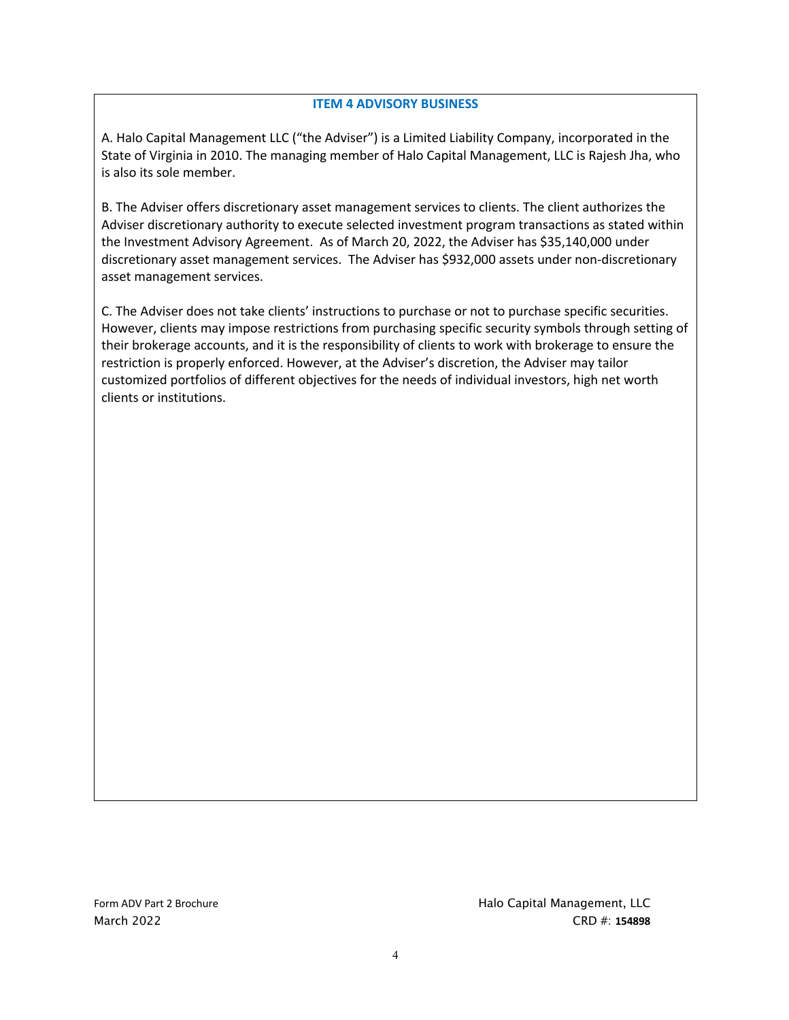#### **ITEM 4 ADVISORY BUSINESS**

A. Halo Capital Management LLC ("the Adviser") is a Limited Liability Company, incorporated in the State of Virginia in 2010. The managing member of Halo Capital Management, LLC is Rajesh Jha, who is also its sole member.

B. The Adviser offers discretionary asset management services to clients. The client authorizes the Adviser discretionary authority to execute selected investment program transactions as stated within the Investment Advisory Agreement. As of March 20, 2022, the Adviser has \$35,140,000 under discretionary asset management services. The Adviser has \$932,000 assets under non-discretionary asset management services.

C. The Adviser does not take clients' instructions to purchase or not to purchase specific securities. However, clients may impose restrictions from purchasing specific security symbols through setting of their brokerage accounts, and it is the responsibility of clients to work with brokerage to ensure the restriction is properly enforced. However, at the Adviser's discretion, the Adviser may tailor customized portfolios of different objectives for the needs of individual investors, high net worth clients or institutions.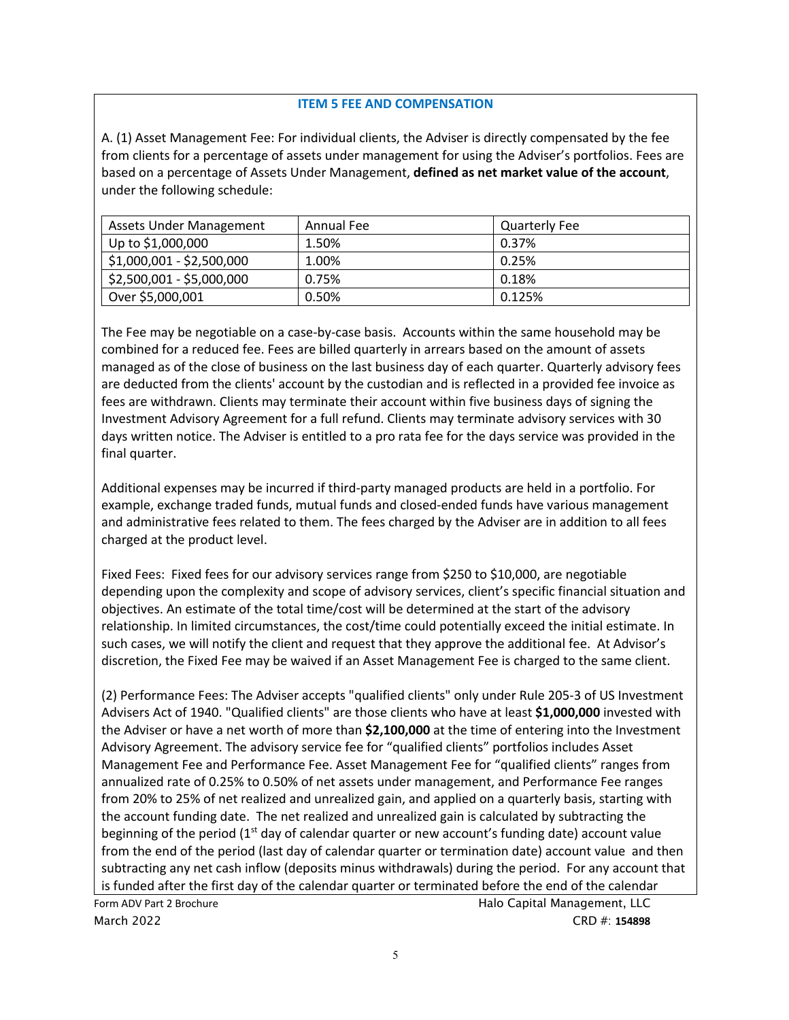## **ITEM 5 FEE AND COMPENSATION**

A. (1) Asset Management Fee: For individual clients, the Adviser is directly compensated by the fee from clients for a percentage of assets under management for using the Adviser's portfolios. Fees are based on a percentage of Assets Under Management, **defined as net market value of the account**, under the following schedule:

| Assets Under Management   | Annual Fee | <b>Quarterly Fee</b> |
|---------------------------|------------|----------------------|
| Up to \$1,000,000         | 1.50%      | 0.37%                |
| $$1,000,001 - $2,500,000$ | 1.00%      | 0.25%                |
| \$2,500,001 - \$5,000,000 | 0.75%      | 0.18%                |
| Over \$5,000,001          | 0.50%      | 0.125%               |

The Fee may be negotiable on a case-by-case basis. Accounts within the same household may be combined for a reduced fee. Fees are billed quarterly in arrears based on the amount of assets managed as of the close of business on the last business day of each quarter. Quarterly advisory fees are deducted from the clients' account by the custodian and is reflected in a provided fee invoice as fees are withdrawn. Clients may terminate their account within five business days of signing the Investment Advisory Agreement for a full refund. Clients may terminate advisory services with 30 days written notice. The Adviser is entitled to a pro rata fee for the days service was provided in the final quarter.

Additional expenses may be incurred if third-party managed products are held in a portfolio. For example, exchange traded funds, mutual funds and closed-ended funds have various management and administrative fees related to them. The fees charged by the Adviser are in addition to all fees charged at the product level.

Fixed Fees: Fixed fees for our advisory services range from \$250 to \$10,000, are negotiable depending upon the complexity and scope of advisory services, client's specific financial situation and objectives. An estimate of the total time/cost will be determined at the start of the advisory relationship. In limited circumstances, the cost/time could potentially exceed the initial estimate. In such cases, we will notify the client and request that they approve the additional fee. At Advisor's discretion, the Fixed Fee may be waived if an Asset Management Fee is charged to the same client.

(2) Performance Fees: The Adviser accepts "qualified clients" only under Rule 205-3 of US Investment Advisers Act of 1940. "Qualified clients" are those clients who have at least **\$1,000,000** invested with the Adviser or have a net worth of more than **\$2,100,000** at the time of entering into the Investment Advisory Agreement. The advisory service fee for "qualified clients" portfolios includes Asset Management Fee and Performance Fee. Asset Management Fee for "qualified clients" ranges from annualized rate of 0.25% to 0.50% of net assets under management, and Performance Fee ranges from 20% to 25% of net realized and unrealized gain, and applied on a quarterly basis, starting with the account funding date. The net realized and unrealized gain is calculated by subtracting the beginning of the period  $(1<sup>st</sup>$  day of calendar quarter or new account's funding date) account value from the end of the period (last day of calendar quarter or termination date) account value and then subtracting any net cash inflow (deposits minus withdrawals) during the period. For any account that is funded after the first day of the calendar quarter or terminated before the end of the calendar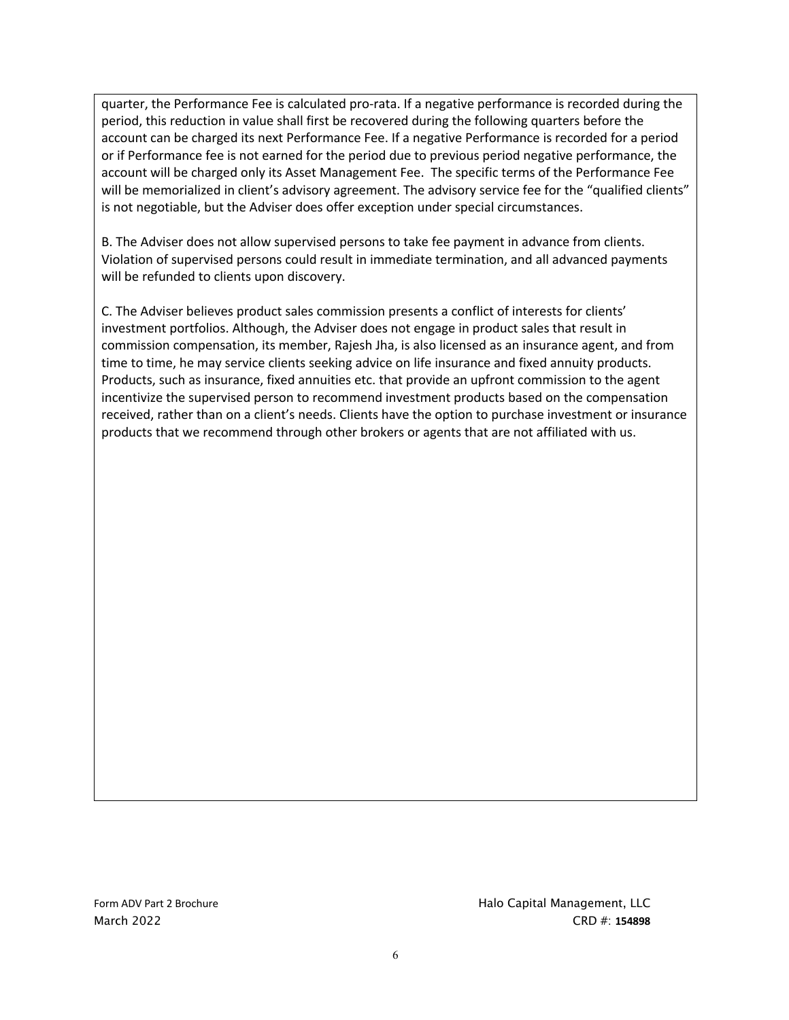quarter, the Performance Fee is calculated pro-rata. If a negative performance is recorded during the period, this reduction in value shall first be recovered during the following quarters before the account can be charged its next Performance Fee. If a negative Performance is recorded for a period or if Performance fee is not earned for the period due to previous period negative performance, the account will be charged only its Asset Management Fee. The specific terms of the Performance Fee will be memorialized in client's advisory agreement. The advisory service fee for the "qualified clients" is not negotiable, but the Adviser does offer exception under special circumstances.

B. The Adviser does not allow supervised persons to take fee payment in advance from clients. Violation of supervised persons could result in immediate termination, and all advanced payments will be refunded to clients upon discovery.

C. The Adviser believes product sales commission presents a conflict of interests for clients' investment portfolios. Although, the Adviser does not engage in product sales that result in commission compensation, its member, Rajesh Jha, is also licensed as an insurance agent, and from time to time, he may service clients seeking advice on life insurance and fixed annuity products. Products, such as insurance, fixed annuities etc. that provide an upfront commission to the agent incentivize the supervised person to recommend investment products based on the compensation received, rather than on a client's needs. Clients have the option to purchase investment or insurance products that we recommend through other brokers or agents that are not affiliated with us.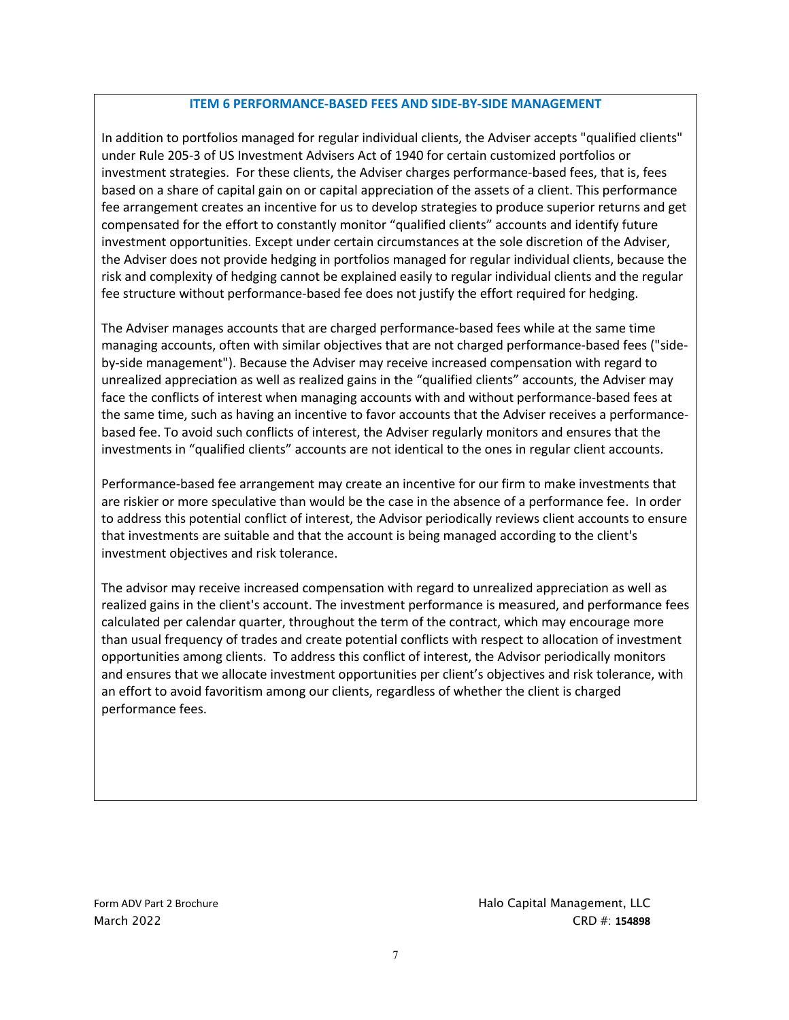#### **ITEM 6 PERFORMANCE-BASED FEES AND SIDE-BY-SIDE MANAGEMENT**

In addition to portfolios managed for regular individual clients, the Adviser accepts "qualified clients" under Rule 205-3 of US Investment Advisers Act of 1940 for certain customized portfolios or investment strategies. For these clients, the Adviser charges performance-based fees, that is, fees based on a share of capital gain on or capital appreciation of the assets of a client. This performance fee arrangement creates an incentive for us to develop strategies to produce superior returns and get compensated for the effort to constantly monitor "qualified clients" accounts and identify future investment opportunities. Except under certain circumstances at the sole discretion of the Adviser, the Adviser does not provide hedging in portfolios managed for regular individual clients, because the risk and complexity of hedging cannot be explained easily to regular individual clients and the regular fee structure without performance-based fee does not justify the effort required for hedging.

The Adviser manages accounts that are charged performance-based fees while at the same time managing accounts, often with similar objectives that are not charged performance-based fees ("sideby-side management"). Because the Adviser may receive increased compensation with regard to unrealized appreciation as well as realized gains in the "qualified clients" accounts, the Adviser may face the conflicts of interest when managing accounts with and without performance-based fees at the same time, such as having an incentive to favor accounts that the Adviser receives a performancebased fee. To avoid such conflicts of interest, the Adviser regularly monitors and ensures that the investments in "qualified clients" accounts are not identical to the ones in regular client accounts.

Performance-based fee arrangement may create an incentive for our firm to make investments that are riskier or more speculative than would be the case in the absence of a performance fee. In order to address this potential conflict of interest, the Advisor periodically reviews client accounts to ensure that investments are suitable and that the account is being managed according to the client's investment objectives and risk tolerance.

The advisor may receive increased compensation with regard to unrealized appreciation as well as realized gains in the client's account. The investment performance is measured, and performance fees calculated per calendar quarter, throughout the term of the contract, which may encourage more than usual frequency of trades and create potential conflicts with respect to allocation of investment opportunities among clients. To address this conflict of interest, the Advisor periodically monitors and ensures that we allocate investment opportunities per client's objectives and risk tolerance, with an effort to avoid favoritism among our clients, regardless of whether the client is charged performance fees.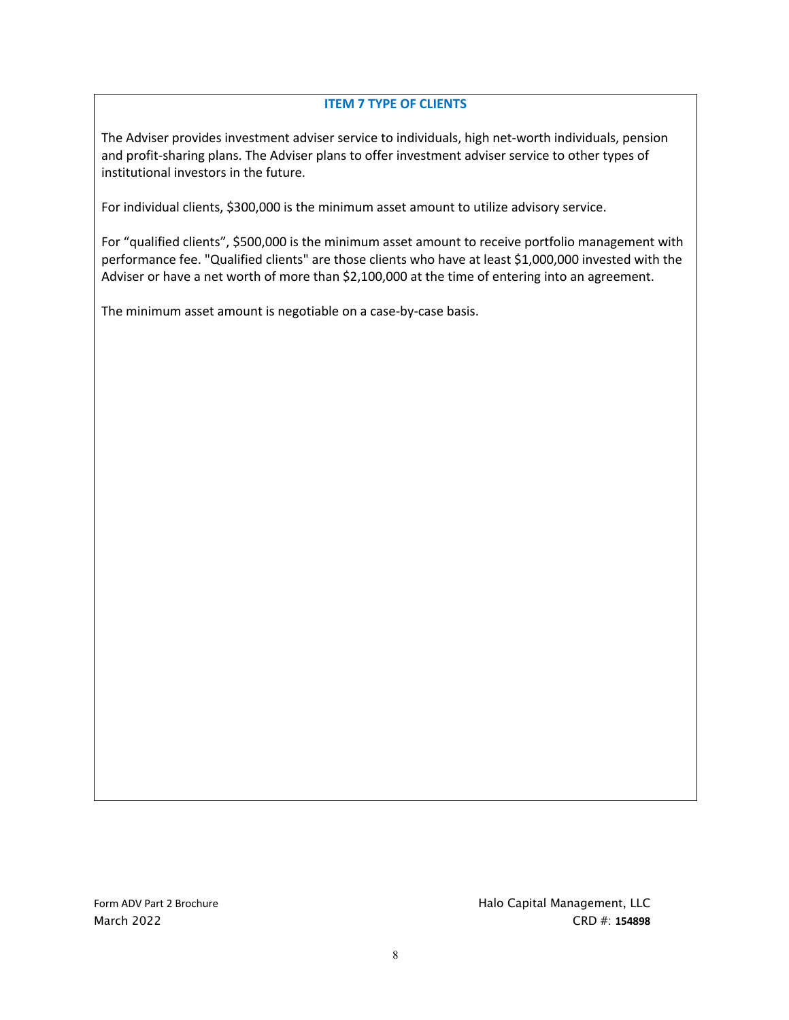## **ITEM 7 TYPE OF CLIENTS**

The Adviser provides investment adviser service to individuals, high net-worth individuals, pension and profit-sharing plans. The Adviser plans to offer investment adviser service to other types of institutional investors in the future.

For individual clients, \$300,000 is the minimum asset amount to utilize advisory service.

For "qualified clients", \$500,000 is the minimum asset amount to receive portfolio management with performance fee. "Qualified clients" are those clients who have at least \$1,000,000 invested with the Adviser or have a net worth of more than \$2,100,000 at the time of entering into an agreement.

The minimum asset amount is negotiable on a case-by-case basis.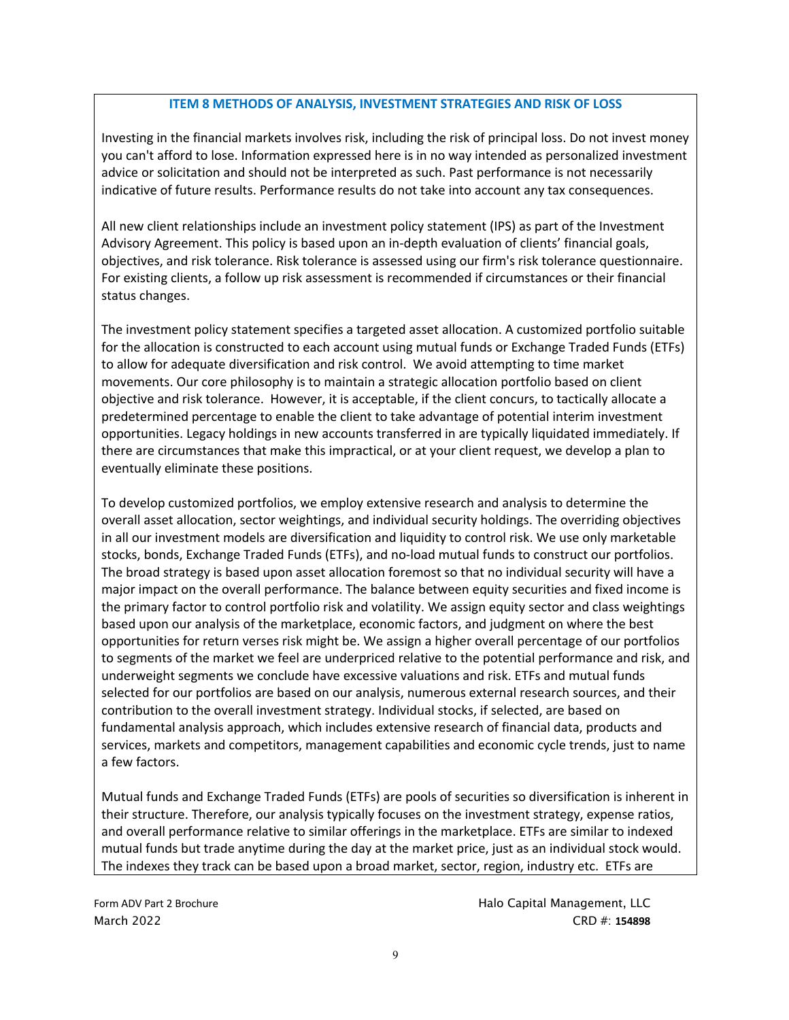#### **ITEM 8 METHODS OF ANALYSIS, INVESTMENT STRATEGIES AND RISK OF LOSS**

Investing in the financial markets involves risk, including the risk of principal loss. Do not invest money you can't afford to lose. Information expressed here is in no way intended as personalized investment advice or solicitation and should not be interpreted as such. Past performance is not necessarily indicative of future results. Performance results do not take into account any tax consequences.

All new client relationships include an investment policy statement (IPS) as part of the Investment Advisory Agreement. This policy is based upon an in-depth evaluation of clients' financial goals, objectives, and risk tolerance. Risk tolerance is assessed using our firm's risk tolerance questionnaire. For existing clients, a follow up risk assessment is recommended if circumstances or their financial status changes.

The investment policy statement specifies a targeted asset allocation. A customized portfolio suitable for the allocation is constructed to each account using mutual funds or Exchange Traded Funds (ETFs) to allow for adequate diversification and risk control. We avoid attempting to time market movements. Our core philosophy is to maintain a strategic allocation portfolio based on client objective and risk tolerance. However, it is acceptable, if the client concurs, to tactically allocate a predetermined percentage to enable the client to take advantage of potential interim investment opportunities. Legacy holdings in new accounts transferred in are typically liquidated immediately. If there are circumstances that make this impractical, or at your client request, we develop a plan to eventually eliminate these positions.

To develop customized portfolios, we employ extensive research and analysis to determine the overall asset allocation, sector weightings, and individual security holdings. The overriding objectives in all our investment models are diversification and liquidity to control risk. We use only marketable stocks, bonds, Exchange Traded Funds (ETFs), and no-load mutual funds to construct our portfolios. The broad strategy is based upon asset allocation foremost so that no individual security will have a major impact on the overall performance. The balance between equity securities and fixed income is the primary factor to control portfolio risk and volatility. We assign equity sector and class weightings based upon our analysis of the marketplace, economic factors, and judgment on where the best opportunities for return verses risk might be. We assign a higher overall percentage of our portfolios to segments of the market we feel are underpriced relative to the potential performance and risk, and underweight segments we conclude have excessive valuations and risk. ETFs and mutual funds selected for our portfolios are based on our analysis, numerous external research sources, and their contribution to the overall investment strategy. Individual stocks, if selected, are based on fundamental analysis approach, which includes extensive research of financial data, products and services, markets and competitors, management capabilities and economic cycle trends, just to name a few factors.

Mutual funds and Exchange Traded Funds (ETFs) are pools of securities so diversification is inherent in their structure. Therefore, our analysis typically focuses on the investment strategy, expense ratios, and overall performance relative to similar offerings in the marketplace. ETFs are similar to indexed mutual funds but trade anytime during the day at the market price, just as an individual stock would. The indexes they track can be based upon a broad market, sector, region, industry etc. ETFs are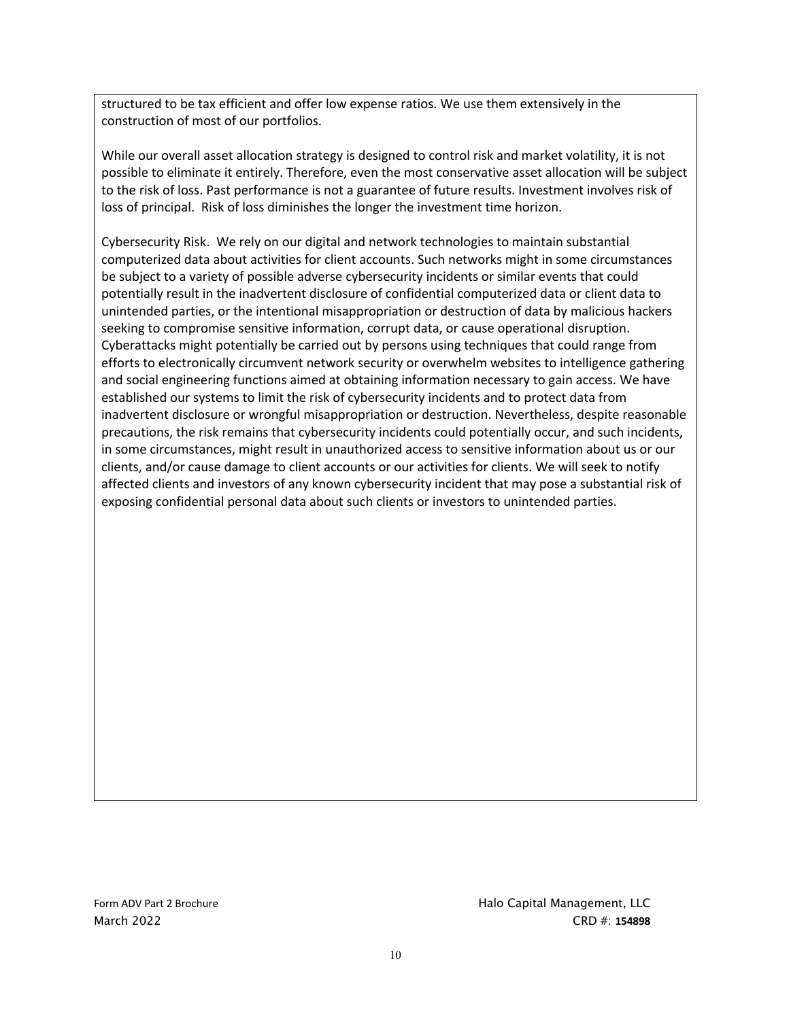structured to be tax efficient and offer low expense ratios. We use them extensively in the construction of most of our portfolios.

While our overall asset allocation strategy is designed to control risk and market volatility, it is not possible to eliminate it entirely. Therefore, even the most conservative asset allocation will be subject to the risk of loss. Past performance is not a guarantee of future results. Investment involves risk of loss of principal. Risk of loss diminishes the longer the investment time horizon.

Cybersecurity Risk. We rely on our digital and network technologies to maintain substantial computerized data about activities for client accounts. Such networks might in some circumstances be subject to a variety of possible adverse cybersecurity incidents or similar events that could potentially result in the inadvertent disclosure of confidential computerized data or client data to unintended parties, or the intentional misappropriation or destruction of data by malicious hackers seeking to compromise sensitive information, corrupt data, or cause operational disruption. Cyberattacks might potentially be carried out by persons using techniques that could range from efforts to electronically circumvent network security or overwhelm websites to intelligence gathering and social engineering functions aimed at obtaining information necessary to gain access. We have established our systems to limit the risk of cybersecurity incidents and to protect data from inadvertent disclosure or wrongful misappropriation or destruction. Nevertheless, despite reasonable precautions, the risk remains that cybersecurity incidents could potentially occur, and such incidents, in some circumstances, might result in unauthorized access to sensitive information about us or our clients, and/or cause damage to client accounts or our activities for clients. We will seek to notify affected clients and investors of any known cybersecurity incident that may pose a substantial risk of exposing confidential personal data about such clients or investors to unintended parties.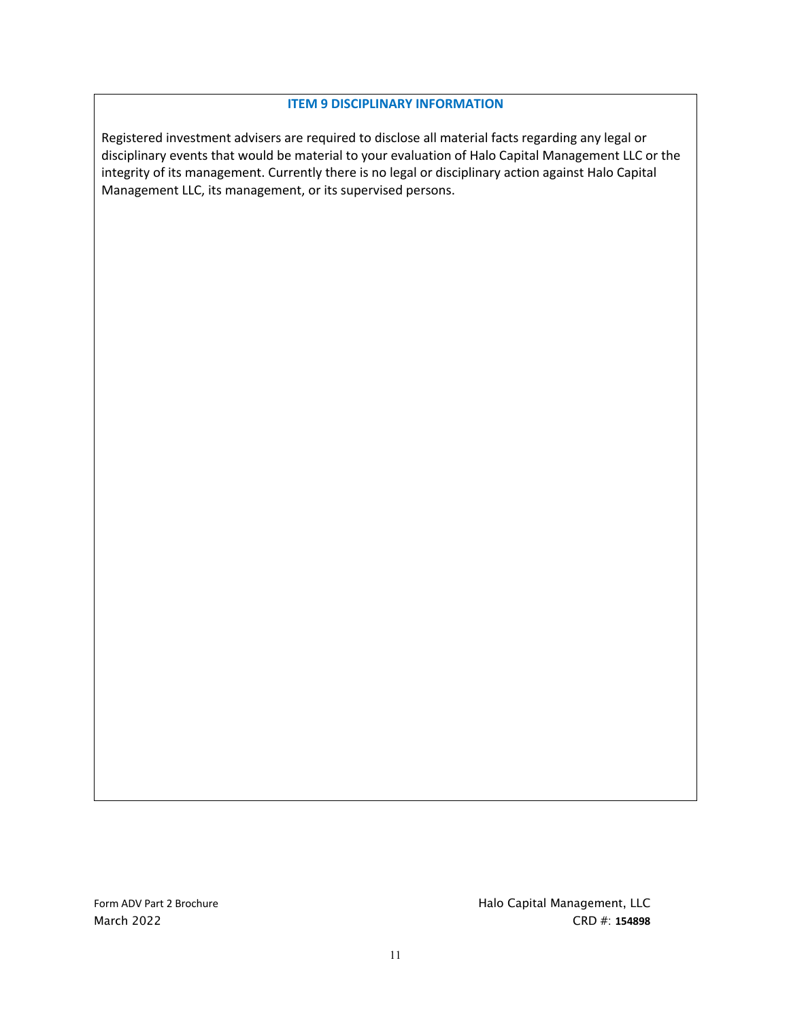#### **ITEM 9 DISCIPLINARY INFORMATION**

Registered investment advisers are required to disclose all material facts regarding any legal or disciplinary events that would be material to your evaluation of Halo Capital Management LLC or the integrity of its management. Currently there is no legal or disciplinary action against Halo Capital Management LLC, its management, or its supervised persons.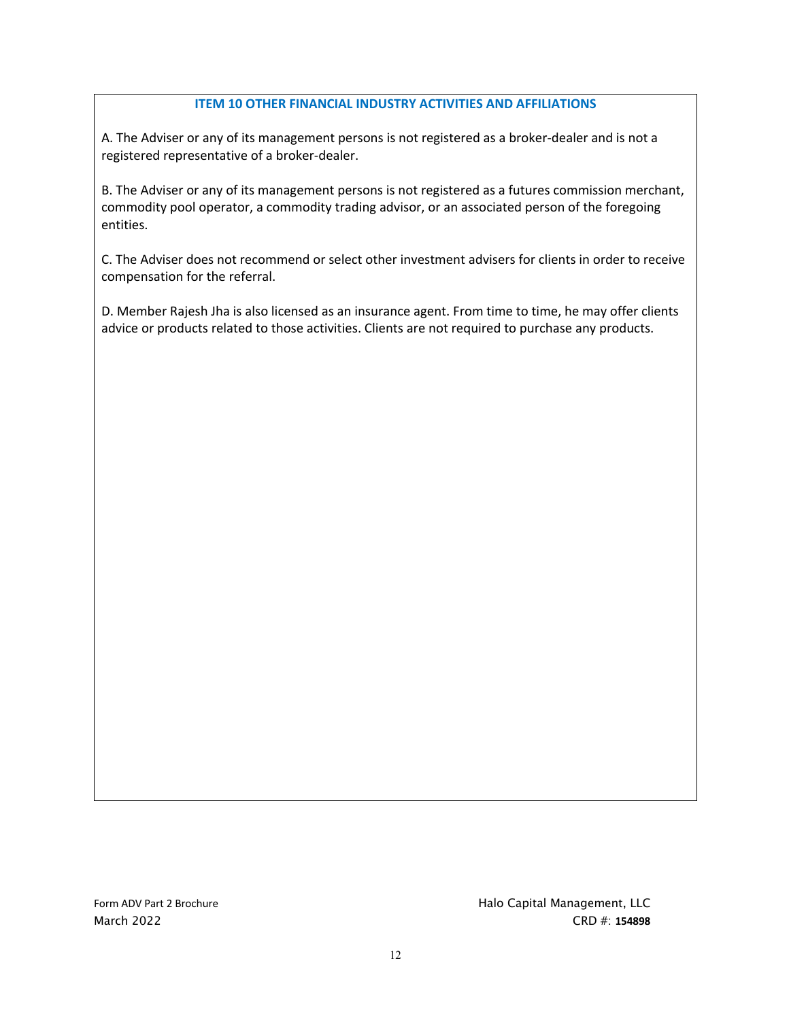### **ITEM 10 OTHER FINANCIAL INDUSTRY ACTIVITIES AND AFFILIATIONS**

A. The Adviser or any of its management persons is not registered as a broker-dealer and is not a registered representative of a broker-dealer.

B. The Adviser or any of its management persons is not registered as a futures commission merchant, commodity pool operator, a commodity trading advisor, or an associated person of the foregoing entities.

C. The Adviser does not recommend or select other investment advisers for clients in order to receive compensation for the referral.

D. Member Rajesh Jha is also licensed as an insurance agent. From time to time, he may offer clients advice or products related to those activities. Clients are not required to purchase any products.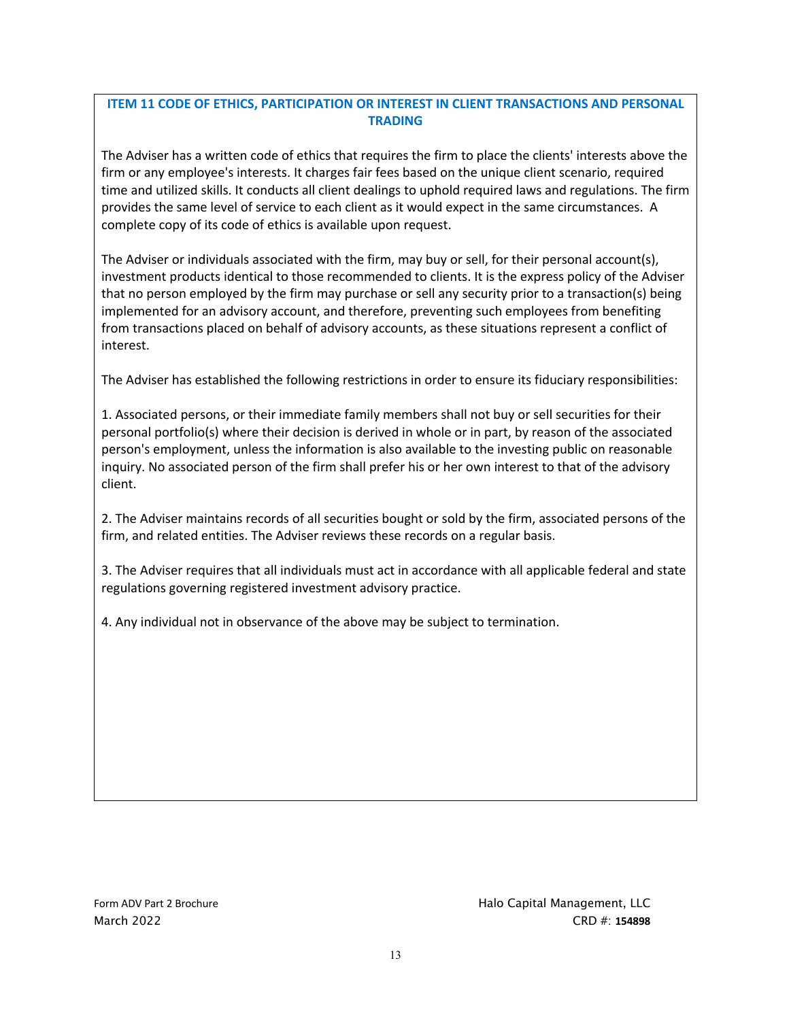# **ITEM 11 CODE OF ETHICS, PARTICIPATION OR INTEREST IN CLIENT TRANSACTIONS AND PERSONAL TRADING**

The Adviser has a written code of ethics that requires the firm to place the clients' interests above the firm or any employee's interests. It charges fair fees based on the unique client scenario, required time and utilized skills. It conducts all client dealings to uphold required laws and regulations. The firm provides the same level of service to each client as it would expect in the same circumstances. A complete copy of its code of ethics is available upon request.

The Adviser or individuals associated with the firm, may buy or sell, for their personal account(s), investment products identical to those recommended to clients. It is the express policy of the Adviser that no person employed by the firm may purchase or sell any security prior to a transaction(s) being implemented for an advisory account, and therefore, preventing such employees from benefiting from transactions placed on behalf of advisory accounts, as these situations represent a conflict of interest.

The Adviser has established the following restrictions in order to ensure its fiduciary responsibilities:

1. Associated persons, or their immediate family members shall not buy or sell securities for their personal portfolio(s) where their decision is derived in whole or in part, by reason of the associated person's employment, unless the information is also available to the investing public on reasonable inquiry. No associated person of the firm shall prefer his or her own interest to that of the advisory client.

2. The Adviser maintains records of all securities bought or sold by the firm, associated persons of the firm, and related entities. The Adviser reviews these records on a regular basis.

3. The Adviser requires that all individuals must act in accordance with all applicable federal and state regulations governing registered investment advisory practice.

4. Any individual not in observance of the above may be subject to termination.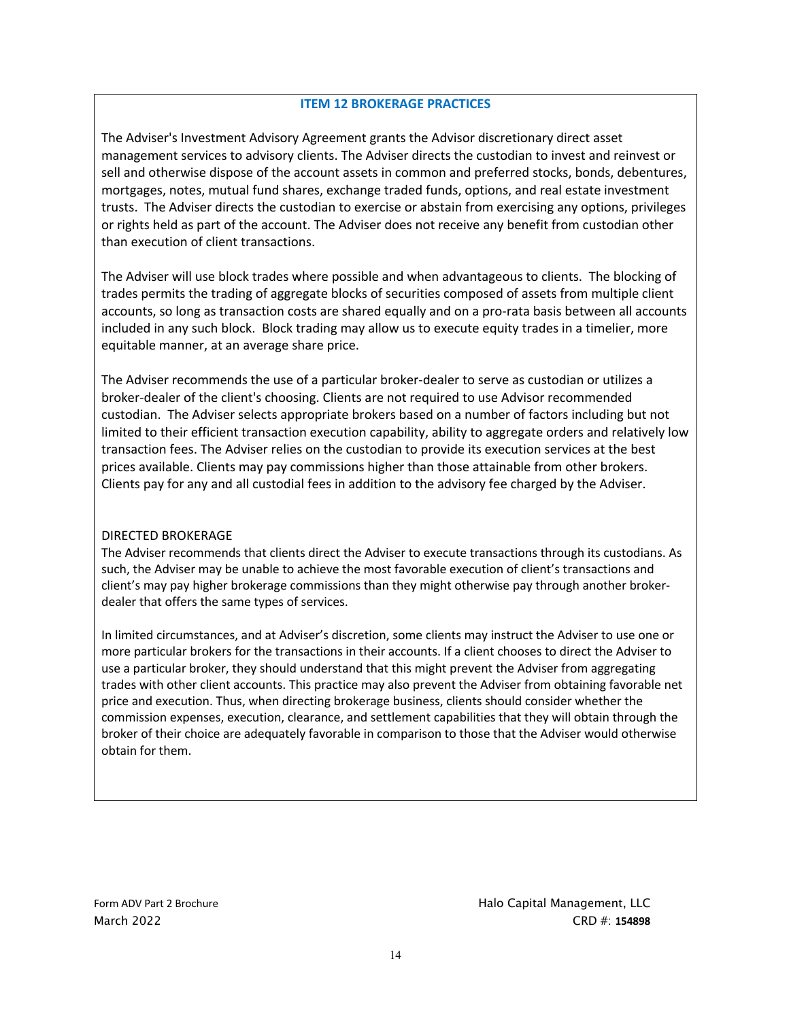#### **ITEM 12 BROKERAGE PRACTICES**

The Adviser's Investment Advisory Agreement grants the Advisor discretionary direct asset management services to advisory clients. The Adviser directs the custodian to invest and reinvest or sell and otherwise dispose of the account assets in common and preferred stocks, bonds, debentures, mortgages, notes, mutual fund shares, exchange traded funds, options, and real estate investment trusts. The Adviser directs the custodian to exercise or abstain from exercising any options, privileges or rights held as part of the account. The Adviser does not receive any benefit from custodian other than execution of client transactions.

The Adviser will use block trades where possible and when advantageous to clients. The blocking of trades permits the trading of aggregate blocks of securities composed of assets from multiple client accounts, so long as transaction costs are shared equally and on a pro-rata basis between all accounts included in any such block. Block trading may allow us to execute equity trades in a timelier, more equitable manner, at an average share price.

The Adviser recommends the use of a particular broker-dealer to serve as custodian or utilizes a broker-dealer of the client's choosing. Clients are not required to use Advisor recommended custodian. The Adviser selects appropriate brokers based on a number of factors including but not limited to their efficient transaction execution capability, ability to aggregate orders and relatively low transaction fees. The Adviser relies on the custodian to provide its execution services at the best prices available. Clients may pay commissions higher than those attainable from other brokers. Clients pay for any and all custodial fees in addition to the advisory fee charged by the Adviser.

#### DIRECTED BROKERAGE

The Adviser recommends that clients direct the Adviser to execute transactions through its custodians. As such, the Adviser may be unable to achieve the most favorable execution of client's transactions and client's may pay higher brokerage commissions than they might otherwise pay through another brokerdealer that offers the same types of services.

In limited circumstances, and at Adviser's discretion, some clients may instruct the Adviser to use one or more particular brokers for the transactions in their accounts. If a client chooses to direct the Adviser to use a particular broker, they should understand that this might prevent the Adviser from aggregating trades with other client accounts. This practice may also prevent the Adviser from obtaining favorable net price and execution. Thus, when directing brokerage business, clients should consider whether the commission expenses, execution, clearance, and settlement capabilities that they will obtain through the broker of their choice are adequately favorable in comparison to those that the Adviser would otherwise obtain for them.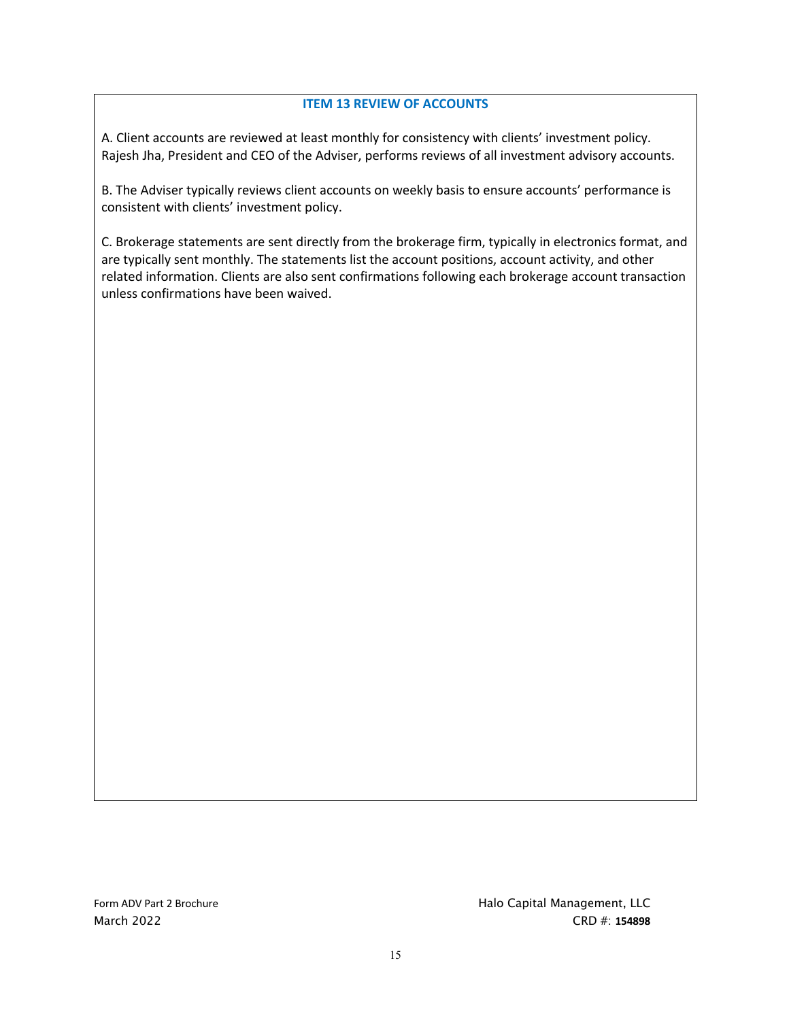## **ITEM 13 REVIEW OF ACCOUNTS**

A. Client accounts are reviewed at least monthly for consistency with clients' investment policy. Rajesh Jha, President and CEO of the Adviser, performs reviews of all investment advisory accounts.

B. The Adviser typically reviews client accounts on weekly basis to ensure accounts' performance is consistent with clients' investment policy.

C. Brokerage statements are sent directly from the brokerage firm, typically in electronics format, and are typically sent monthly. The statements list the account positions, account activity, and other related information. Clients are also sent confirmations following each brokerage account transaction unless confirmations have been waived.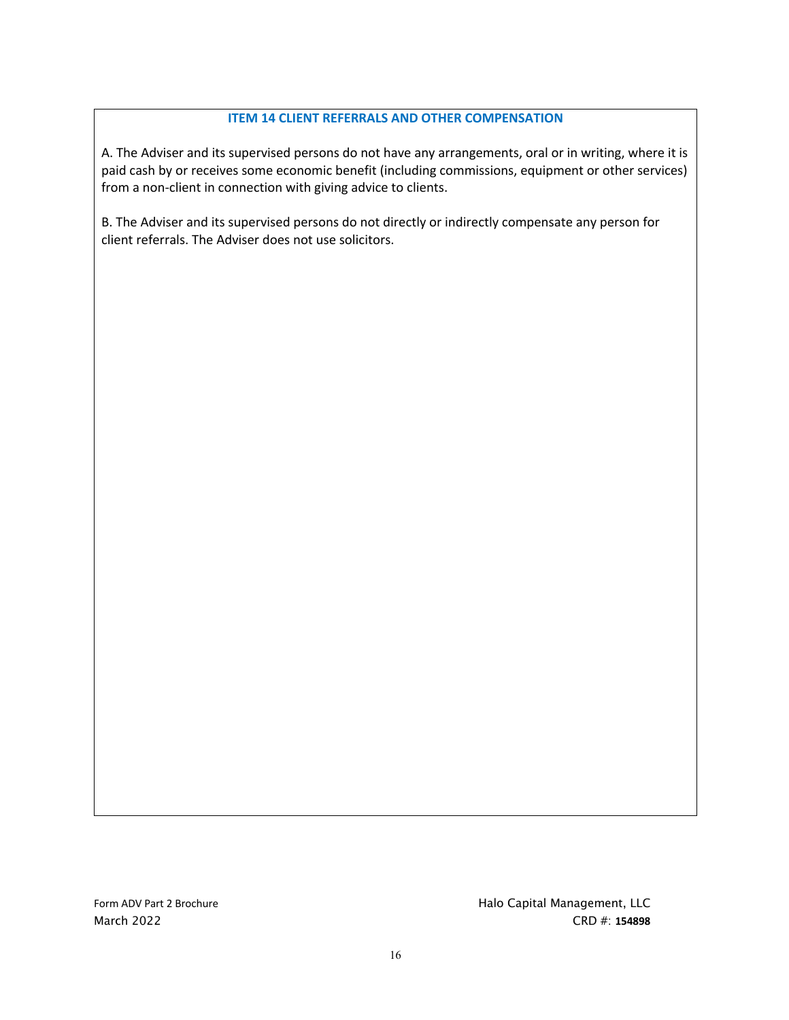## **ITEM 14 CLIENT REFERRALS AND OTHER COMPENSATION**

A. The Adviser and its supervised persons do not have any arrangements, oral or in writing, where it is paid cash by or receives some economic benefit (including commissions, equipment or other services) from a non-client in connection with giving advice to clients.

B. The Adviser and its supervised persons do not directly or indirectly compensate any person for client referrals. The Adviser does not use solicitors.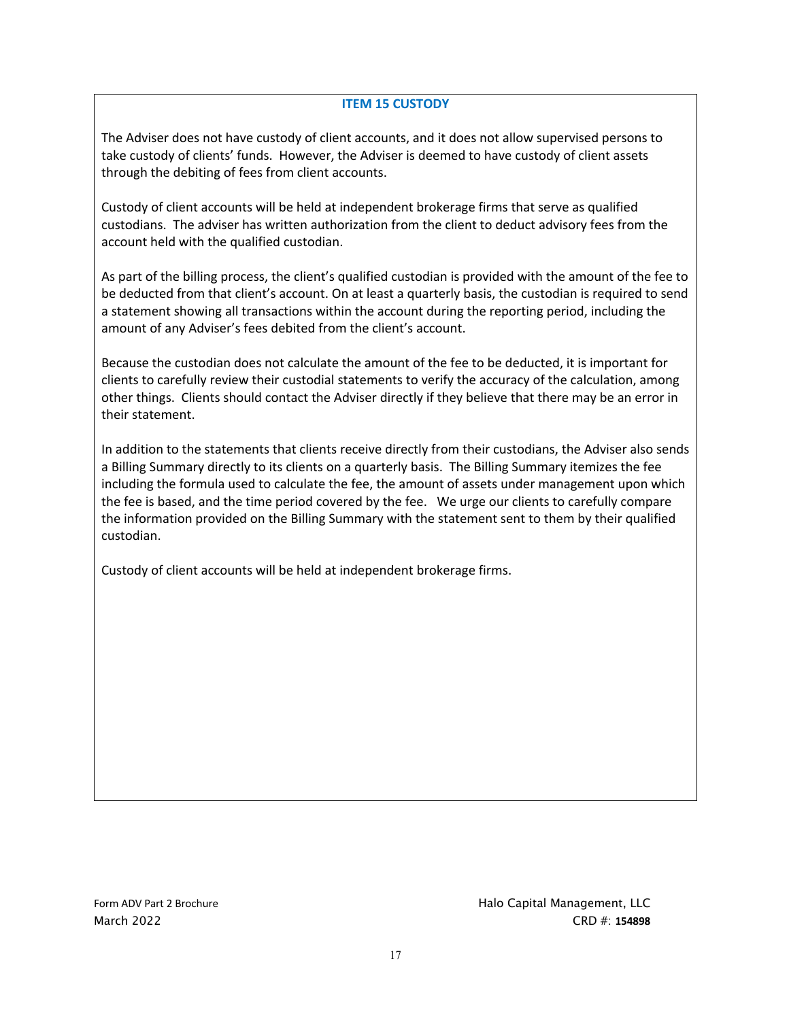### **ITEM 15 CUSTODY**

The Adviser does not have custody of client accounts, and it does not allow supervised persons to take custody of clients' funds. However, the Adviser is deemed to have custody of client assets through the debiting of fees from client accounts.

Custody of client accounts will be held at independent brokerage firms that serve as qualified custodians. The adviser has written authorization from the client to deduct advisory fees from the account held with the qualified custodian.

As part of the billing process, the client's qualified custodian is provided with the amount of the fee to be deducted from that client's account. On at least a quarterly basis, the custodian is required to send a statement showing all transactions within the account during the reporting period, including the amount of any Adviser's fees debited from the client's account.

Because the custodian does not calculate the amount of the fee to be deducted, it is important for clients to carefully review their custodial statements to verify the accuracy of the calculation, among other things. Clients should contact the Adviser directly if they believe that there may be an error in their statement.

In addition to the statements that clients receive directly from their custodians, the Adviser also sends a Billing Summary directly to its clients on a quarterly basis. The Billing Summary itemizes the fee including the formula used to calculate the fee, the amount of assets under management upon which the fee is based, and the time period covered by the fee. We urge our clients to carefully compare the information provided on the Billing Summary with the statement sent to them by their qualified custodian.

Custody of client accounts will be held at independent brokerage firms.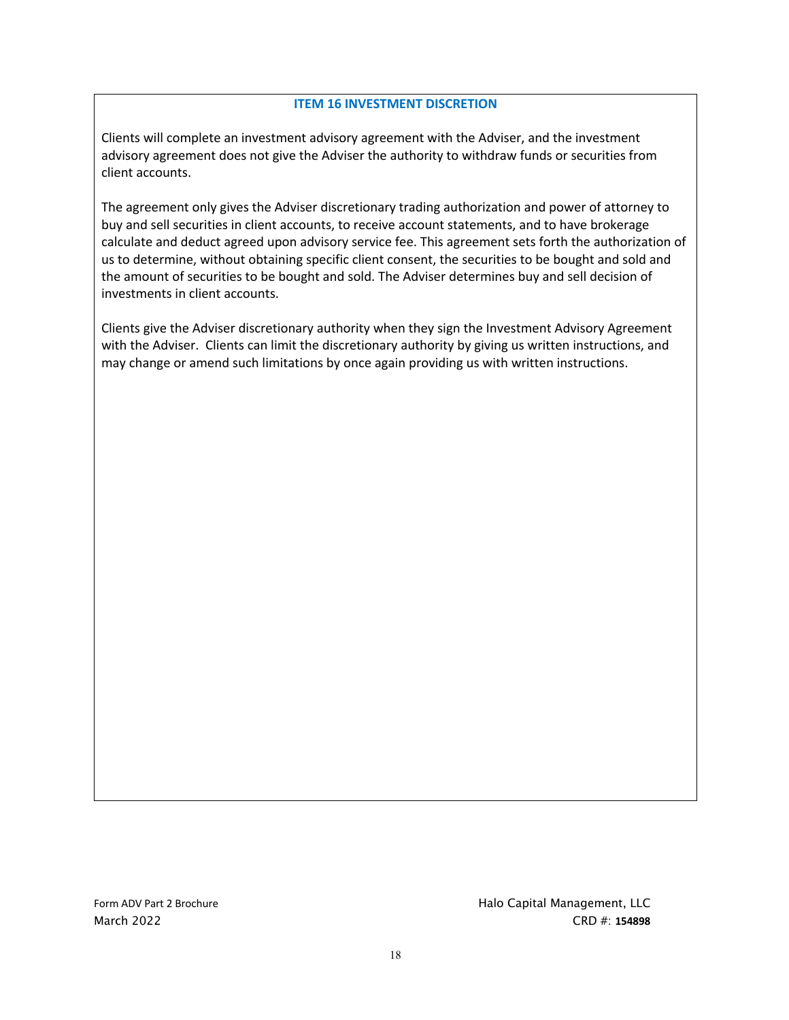#### **ITEM 16 INVESTMENT DISCRETION**

Clients will complete an investment advisory agreement with the Adviser, and the investment advisory agreement does not give the Adviser the authority to withdraw funds or securities from client accounts.

The agreement only gives the Adviser discretionary trading authorization and power of attorney to buy and sell securities in client accounts, to receive account statements, and to have brokerage calculate and deduct agreed upon advisory service fee. This agreement sets forth the authorization of us to determine, without obtaining specific client consent, the securities to be bought and sold and the amount of securities to be bought and sold. The Adviser determines buy and sell decision of investments in client accounts.

Clients give the Adviser discretionary authority when they sign the Investment Advisory Agreement with the Adviser. Clients can limit the discretionary authority by giving us written instructions, and may change or amend such limitations by once again providing us with written instructions.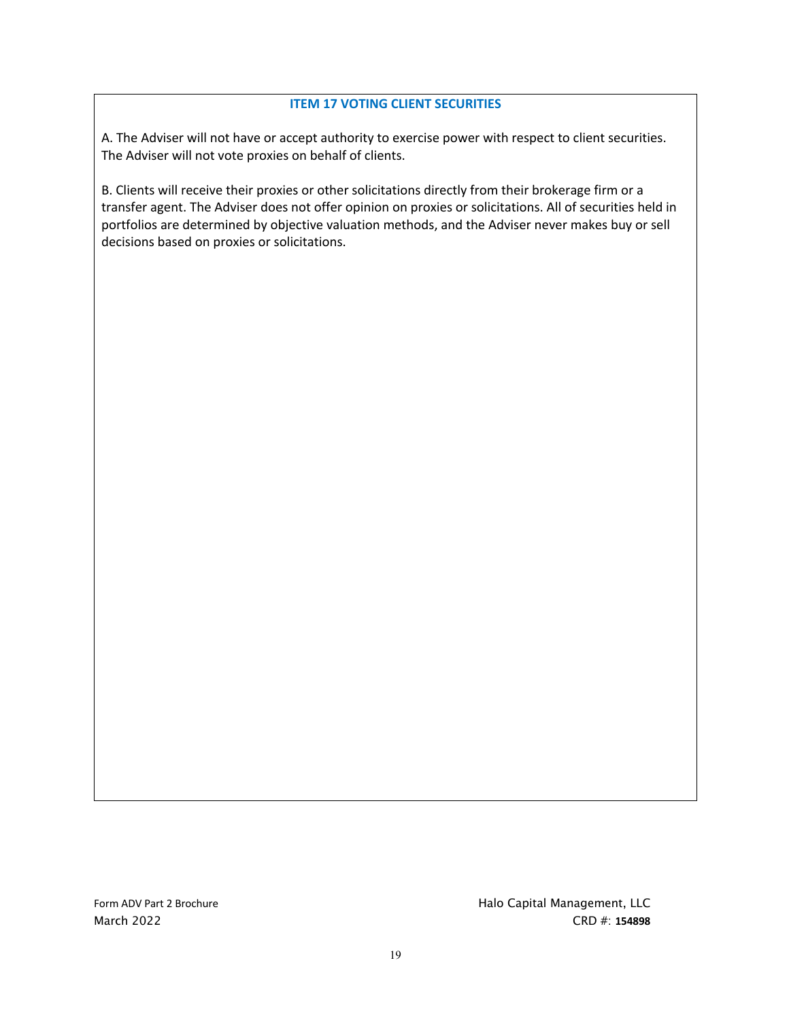### **ITEM 17 VOTING CLIENT SECURITIES**

A. The Adviser will not have or accept authority to exercise power with respect to client securities. The Adviser will not vote proxies on behalf of clients.

B. Clients will receive their proxies or other solicitations directly from their brokerage firm or a transfer agent. The Adviser does not offer opinion on proxies or solicitations. All of securities held in portfolios are determined by objective valuation methods, and the Adviser never makes buy or sell decisions based on proxies or solicitations.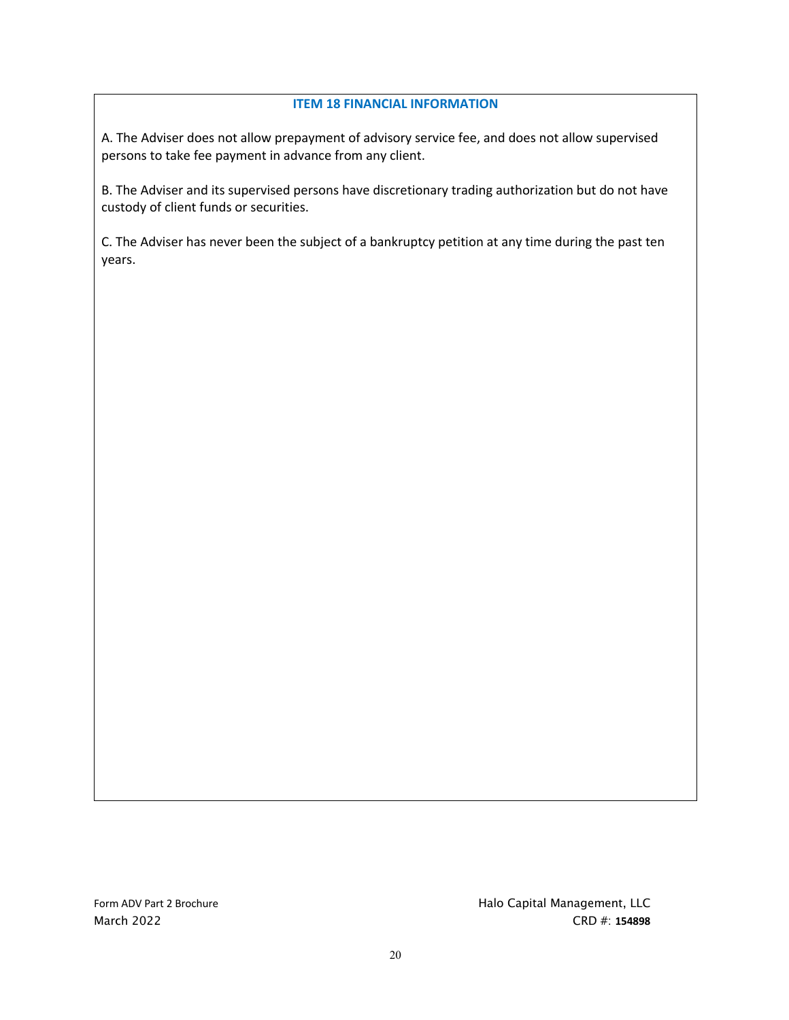#### **ITEM 18 FINANCIAL INFORMATION**

A. The Adviser does not allow prepayment of advisory service fee, and does not allow supervised persons to take fee payment in advance from any client.

B. The Adviser and its supervised persons have discretionary trading authorization but do not have custody of client funds or securities.

C. The Adviser has never been the subject of a bankruptcy petition at any time during the past ten years.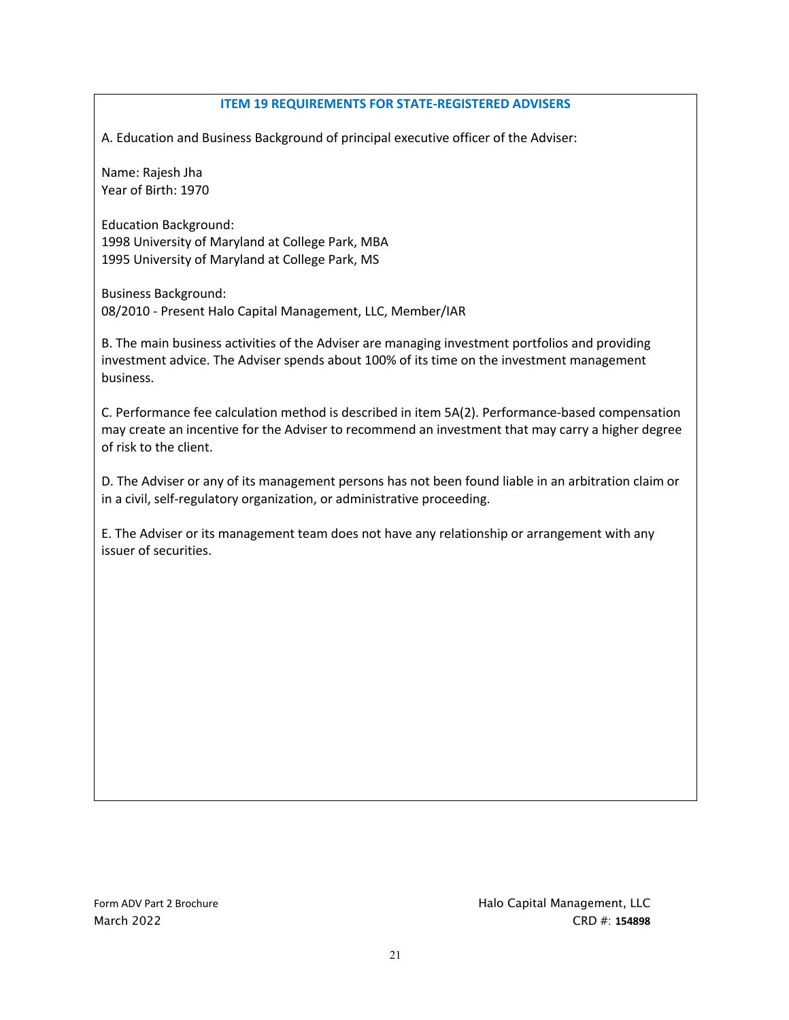#### **ITEM 19 REQUIREMENTS FOR STATE-REGISTERED ADVISERS**

A. Education and Business Background of principal executive officer of the Adviser:

Name: Rajesh Jha Year of Birth: 1970

Education Background: 1998 University of Maryland at College Park, MBA 1995 University of Maryland at College Park, MS

Business Background: 08/2010 - Present Halo Capital Management, LLC, Member/IAR

B. The main business activities of the Adviser are managing investment portfolios and providing investment advice. The Adviser spends about 100% of its time on the investment management business.

C. Performance fee calculation method is described in item 5A(2). Performance-based compensation may create an incentive for the Adviser to recommend an investment that may carry a higher degree of risk to the client.

D. The Adviser or any of its management persons has not been found liable in an arbitration claim or in a civil, self-regulatory organization, or administrative proceeding.

E. The Adviser or its management team does not have any relationship or arrangement with any issuer of securities.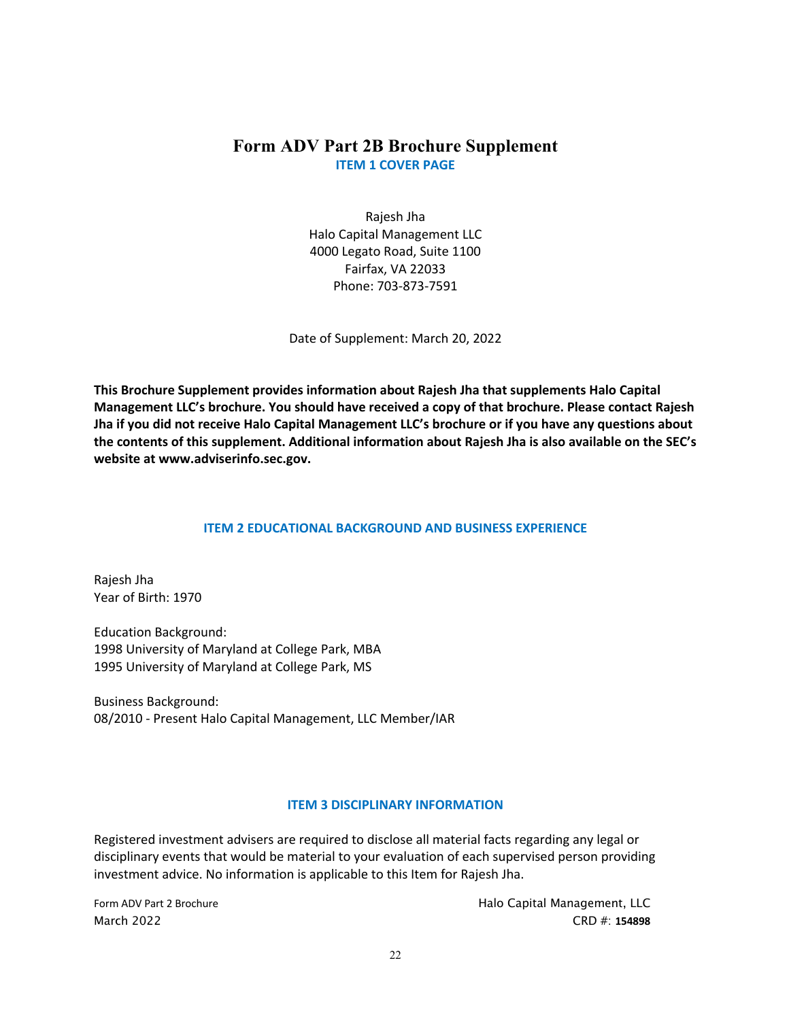# **Form ADV Part 2B Brochure Supplement ITEM 1 COVER PAGE**

Rajesh Jha Halo Capital Management LLC 4000 Legato Road, Suite 1100 Fairfax, VA 22033 Phone: 703-873-7591

Date of Supplement: March 20, 2022

**This Brochure Supplement provides information about Rajesh Jha that supplements Halo Capital Management LLC's brochure. You should have received a copy of that brochure. Please contact Rajesh Jha if you did not receive Halo Capital Management LLC's brochure or if you have any questions about the contents of this supplement. Additional information about Rajesh Jha is also available on the SEC's website at www.adviserinfo.sec.gov.**

## **ITEM 2 EDUCATIONAL BACKGROUND AND BUSINESS EXPERIENCE**

Rajesh Jha Year of Birth: 1970

Education Background: 1998 University of Maryland at College Park, MBA 1995 University of Maryland at College Park, MS

Business Background: 08/2010 - Present Halo Capital Management, LLC Member/IAR

## **ITEM 3 DISCIPLINARY INFORMATION**

Registered investment advisers are required to disclose all material facts regarding any legal or disciplinary events that would be material to your evaluation of each supervised person providing investment advice. No information is applicable to this Item for Rajesh Jha.